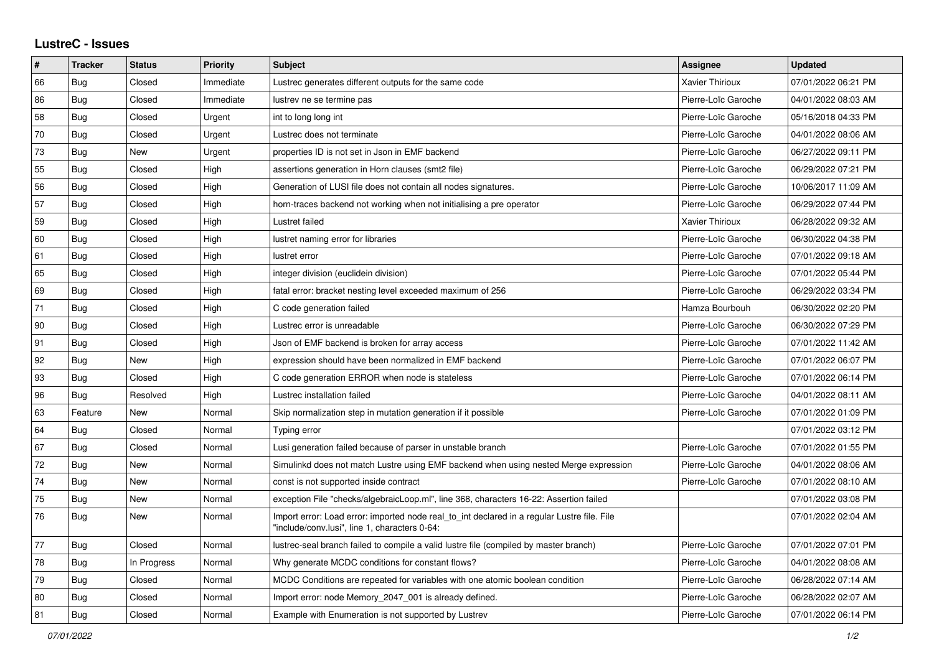## **LustreC - Issues**

| ∦  | <b>Tracker</b> | <b>Status</b> | <b>Priority</b> | <b>Subject</b>                                                                                                                               | Assignee               | <b>Updated</b>      |
|----|----------------|---------------|-----------------|----------------------------------------------------------------------------------------------------------------------------------------------|------------------------|---------------------|
| 66 | Bug            | Closed        | Immediate       | Lustrec generates different outputs for the same code                                                                                        | <b>Xavier Thirioux</b> | 07/01/2022 06:21 PM |
| 86 | Bug            | Closed        | Immediate       | lustrev ne se termine pas                                                                                                                    | Pierre-Loïc Garoche    | 04/01/2022 08:03 AM |
| 58 | Bug            | Closed        | Urgent          | int to long long int                                                                                                                         | Pierre-Loïc Garoche    | 05/16/2018 04:33 PM |
| 70 | Bug            | Closed        | Urgent          | Lustrec does not terminate                                                                                                                   | Pierre-Loïc Garoche    | 04/01/2022 08:06 AM |
| 73 | Bug            | New           | Urgent          | properties ID is not set in Json in EMF backend                                                                                              | Pierre-Loïc Garoche    | 06/27/2022 09:11 PM |
| 55 | <b>Bug</b>     | Closed        | High            | assertions generation in Horn clauses (smt2 file)                                                                                            | Pierre-Loïc Garoche    | 06/29/2022 07:21 PM |
| 56 | <b>Bug</b>     | Closed        | High            | Generation of LUSI file does not contain all nodes signatures.                                                                               | Pierre-Loïc Garoche    | 10/06/2017 11:09 AM |
| 57 | Bug            | Closed        | High            | horn-traces backend not working when not initialising a pre operator                                                                         | Pierre-Loïc Garoche    | 06/29/2022 07:44 PM |
| 59 | <b>Bug</b>     | Closed        | High            | Lustret failed                                                                                                                               | <b>Xavier Thirioux</b> | 06/28/2022 09:32 AM |
| 60 | Bug            | Closed        | High            | lustret naming error for libraries                                                                                                           | Pierre-Loïc Garoche    | 06/30/2022 04:38 PM |
| 61 | Bug            | Closed        | High            | lustret error                                                                                                                                | Pierre-Loïc Garoche    | 07/01/2022 09:18 AM |
| 65 | Bug            | Closed        | High            | integer division (euclidein division)                                                                                                        | Pierre-Loïc Garoche    | 07/01/2022 05:44 PM |
| 69 | Bug            | Closed        | High            | fatal error: bracket nesting level exceeded maximum of 256                                                                                   | Pierre-Loïc Garoche    | 06/29/2022 03:34 PM |
| 71 | Bug            | Closed        | High            | C code generation failed                                                                                                                     | Hamza Bourbouh         | 06/30/2022 02:20 PM |
| 90 | Bug            | Closed        | High            | Lustrec error is unreadable                                                                                                                  | Pierre-Loïc Garoche    | 06/30/2022 07:29 PM |
| 91 | <b>Bug</b>     | Closed        | High            | Json of EMF backend is broken for array access                                                                                               | Pierre-Loïc Garoche    | 07/01/2022 11:42 AM |
| 92 | <b>Bug</b>     | New           | High            | expression should have been normalized in EMF backend                                                                                        | Pierre-Loïc Garoche    | 07/01/2022 06:07 PM |
| 93 | Bug            | Closed        | High            | C code generation ERROR when node is stateless                                                                                               | Pierre-Loïc Garoche    | 07/01/2022 06:14 PM |
| 96 | <b>Bug</b>     | Resolved      | High            | Lustrec installation failed                                                                                                                  | Pierre-Loïc Garoche    | 04/01/2022 08:11 AM |
| 63 | Feature        | New           | Normal          | Skip normalization step in mutation generation if it possible                                                                                | Pierre-Loïc Garoche    | 07/01/2022 01:09 PM |
| 64 | <b>Bug</b>     | Closed        | Normal          | Typing error                                                                                                                                 |                        | 07/01/2022 03:12 PM |
| 67 | Bug            | Closed        | Normal          | Lusi generation failed because of parser in unstable branch                                                                                  | Pierre-Loïc Garoche    | 07/01/2022 01:55 PM |
| 72 | <b>Bug</b>     | New           | Normal          | Simulinkd does not match Lustre using EMF backend when using nested Merge expression                                                         | Pierre-Loïc Garoche    | 04/01/2022 08:06 AM |
| 74 | Bug            | New           | Normal          | const is not supported inside contract                                                                                                       | Pierre-Loïc Garoche    | 07/01/2022 08:10 AM |
| 75 | Bug            | New           | Normal          | exception File "checks/algebraicLoop.ml", line 368, characters 16-22: Assertion failed                                                       |                        | 07/01/2022 03:08 PM |
| 76 | Bug            | New           | Normal          | Import error: Load error: imported node real to int declared in a regular Lustre file. File<br>"include/conv.lusi", line 1, characters 0-64: |                        | 07/01/2022 02:04 AM |
| 77 | Bug            | Closed        | Normal          | lustrec-seal branch failed to compile a valid lustre file (compiled by master branch)                                                        | Pierre-Loïc Garoche    | 07/01/2022 07:01 PM |
| 78 | <b>Bug</b>     | In Progress   | Normal          | Why generate MCDC conditions for constant flows?                                                                                             | Pierre-Loïc Garoche    | 04/01/2022 08:08 AM |
| 79 | <b>Bug</b>     | Closed        | Normal          | MCDC Conditions are repeated for variables with one atomic boolean condition                                                                 | Pierre-Loïc Garoche    | 06/28/2022 07:14 AM |
| 80 | Bug            | Closed        | Normal          | Import error: node Memory_2047_001 is already defined.                                                                                       | Pierre-Loïc Garoche    | 06/28/2022 02:07 AM |
| 81 | Bug            | Closed        | Normal          | Example with Enumeration is not supported by Lustrev                                                                                         | Pierre-Loïc Garoche    | 07/01/2022 06:14 PM |